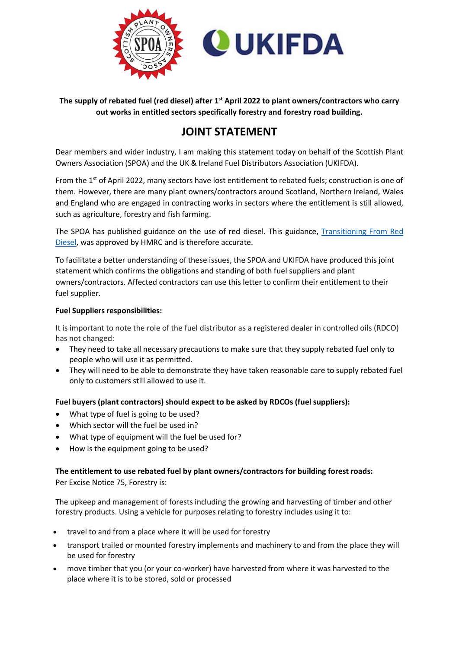

**The supply of rebated fuel (red diesel) after 1st April 2022 to plant owners/contractors who carry out works in entitled sectors specifically forestry and forestry road building.**

## **JOINT STATEMENT**

Dear members and wider industry, I am making this statement today on behalf of the Scottish Plant Owners Association (SPOA) and the UK & Ireland Fuel Distributors Association (UKIFDA).

From the 1<sup>st</sup> of April 2022, many sectors have lost entitlement to rebated fuels; construction is one of them. However, there are many plant owners/contractors around Scotland, Northern Ireland, Wales and England who are engaged in contracting works in sectors where the entitlement is still allowed, such as agriculture, forestry and fish farming.

The SPOA has published guidance on the use of red diesel. This guidance, [Transitioning From Red](https://www.spoa.org.uk/transitioning-red-diesel)  [Diesel,](https://www.spoa.org.uk/transitioning-red-diesel) was approved by HMRC and is therefore accurate.

To facilitate a better understanding of these issues, the SPOA and UKIFDA have produced this joint statement which confirms the obligations and standing of both fuel suppliers and plant owners/contractors. Affected contractors can use this letter to confirm their entitlement to their fuel supplier.

## **Fuel Suppliers responsibilities:**

It is important to note the role of the fuel distributor as a registered dealer in controlled oils (RDCO) has not changed:

- They need to take all necessary precautions to make sure that they supply rebated fuel only to people who will use it as permitted.
- They will need to be able to demonstrate they have taken reasonable care to supply rebated fuel only to customers still allowed to use it.

**Fuel buyers (plant contractors) should expect to be asked by RDCOs (fuel suppliers):** 

- What type of fuel is going to be used?
- Which sector will the fuel be used in?
- What type of equipment will the fuel be used for?
- How is the equipment going to be used?

## **The entitlement to use rebated fuel by plant owners/contractors for building forest roads:**

Per Excise Notice 75, Forestry is:

The upkeep and management of forests including the growing and harvesting of timber and other forestry products. Using a vehicle for purposes relating to forestry includes using it to:

- travel to and from a place where it will be used for forestry
- transport trailed or mounted forestry implements and machinery to and from the place they will be used for forestry
- move timber that you (or your co-worker) have harvested from where it was harvested to the place where it is to be stored, sold or processed